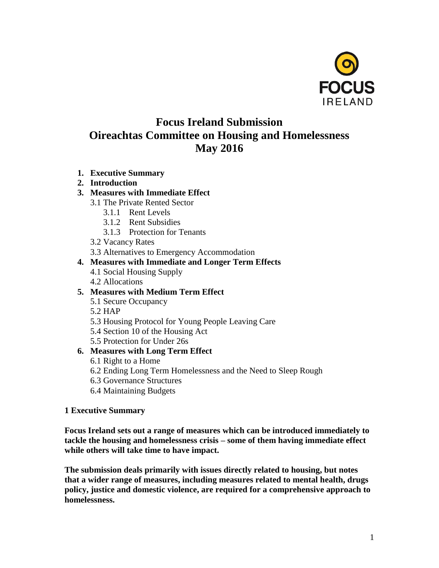

# **Focus Ireland Submission Oireachtas Committee on Housing and Homelessness May 2016**

**1. Executive Summary**

#### **2. Introduction**

- **3. Measures with Immediate Effect**
	- 3.1 The Private Rented Sector
		- 3.1.1 Rent Levels
		- 3.1.2 Rent Subsidies
		- 3.1.3 Protection for Tenants
	- 3.2 Vacancy Rates

3.3 Alternatives to Emergency Accommodation

#### **4. Measures with Immediate and Longer Term Effects**

- 4.1 Social Housing Supply
- 4.2 Allocations

# **5. Measures with Medium Term Effect**

- 5.1 Secure Occupancy
- 5.2 HAP
- 5.3 Housing Protocol for Young People Leaving Care
- 5.4 Section 10 of the Housing Act

5.5 Protection for Under 26s

# **6. Measures with Long Term Effect**

- 6.1 Right to a Home
- 6.2 Ending Long Term Homelessness and the Need to Sleep Rough
- 6.3 Governance Structures
- 6.4 Maintaining Budgets

#### **1 Executive Summary**

**Focus Ireland sets out a range of measures which can be introduced immediately to tackle the housing and homelessness crisis – some of them having immediate effect while others will take time to have impact.**

**The submission deals primarily with issues directly related to housing, but notes that a wider range of measures, including measures related to mental health, drugs policy, justice and domestic violence, are required for a comprehensive approach to homelessness.**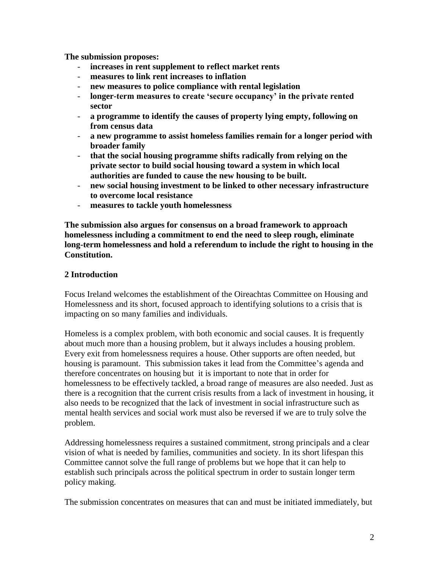**The submission proposes:**

- **increases in rent supplement to reflect market rents**
- **measures to link rent increases to inflation**
- new measures to police compliance with rental legislation
- **longer-term measures to create 'secure occupancy' in the private rented sector**
- **a programme to identify the causes of property lying empty, following on from census data**
- **a new programme to assist homeless families remain for a longer period with broader family**
- **that the social housing programme shifts radically from relying on the private sector to build social housing toward a system in which local authorities are funded to cause the new housing to be built.**
- **new social housing investment to be linked to other necessary infrastructure to overcome local resistance**
- **measures to tackle youth homelessness**

**The submission also argues for consensus on a broad framework to approach homelessness including a commitment to end the need to sleep rough, eliminate long-term homelessness and hold a referendum to include the right to housing in the Constitution.**

#### **2 Introduction**

Focus Ireland welcomes the establishment of the Oireachtas Committee on Housing and Homelessness and its short, focused approach to identifying solutions to a crisis that is impacting on so many families and individuals.

Homeless is a complex problem, with both economic and social causes. It is frequently about much more than a housing problem, but it always includes a housing problem. Every exit from homelessness requires a house. Other supports are often needed, but housing is paramount. This submission takes it lead from the Committee's agenda and therefore concentrates on housing but it is important to note that in order for homelessness to be effectively tackled, a broad range of measures are also needed. Just as there is a recognition that the current crisis results from a lack of investment in housing, it also needs to be recognized that the lack of investment in social infrastructure such as mental health services and social work must also be reversed if we are to truly solve the problem.

Addressing homelessness requires a sustained commitment, strong principals and a clear vision of what is needed by families, communities and society. In its short lifespan this Committee cannot solve the full range of problems but we hope that it can help to establish such principals across the political spectrum in order to sustain longer term policy making.

The submission concentrates on measures that can and must be initiated immediately, but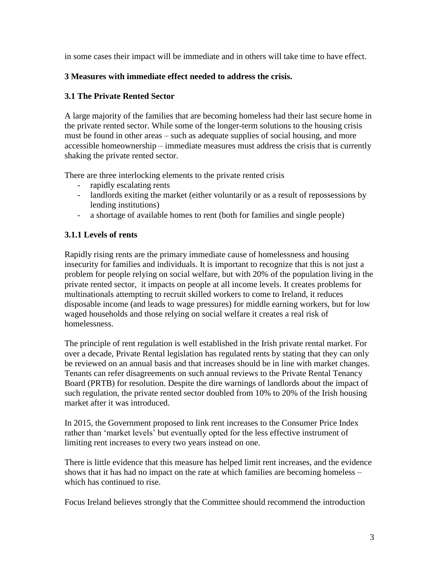in some cases their impact will be immediate and in others will take time to have effect.

# **3 Measures with immediate effect needed to address the crisis.**

# **3.1 The Private Rented Sector**

A large majority of the families that are becoming homeless had their last secure home in the private rented sector. While some of the longer-term solutions to the housing crisis must be found in other areas – such as adequate supplies of social housing, and more accessible homeownership – immediate measures must address the crisis that is currently shaking the private rented sector.

There are three interlocking elements to the private rented crisis

- rapidly escalating rents
- landlords exiting the market (either voluntarily or as a result of repossessions by lending institutions)
- a shortage of available homes to rent (both for families and single people)

# **3.1.1 Levels of rents**

Rapidly rising rents are the primary immediate cause of homelessness and housing insecurity for families and individuals. It is important to recognize that this is not just a problem for people relying on social welfare, but with 20% of the population living in the private rented sector, it impacts on people at all income levels. It creates problems for multinationals attempting to recruit skilled workers to come to Ireland, it reduces disposable income (and leads to wage pressures) for middle earning workers, but for low waged households and those relying on social welfare it creates a real risk of homelessness.

The principle of rent regulation is well established in the Irish private rental market. For over a decade, Private Rental legislation has regulated rents by stating that they can only be reviewed on an annual basis and that increases should be in line with market changes. Tenants can refer disagreements on such annual reviews to the Private Rental Tenancy Board (PRTB) for resolution. Despite the dire warnings of landlords about the impact of such regulation, the private rented sector doubled from 10% to 20% of the Irish housing market after it was introduced.

In 2015, the Government proposed to link rent increases to the Consumer Price Index rather than 'market levels' but eventually opted for the less effective instrument of limiting rent increases to every two years instead on one.

There is little evidence that this measure has helped limit rent increases, and the evidence shows that it has had no impact on the rate at which families are becoming homeless – which has continued to rise.

Focus Ireland believes strongly that the Committee should recommend the introduction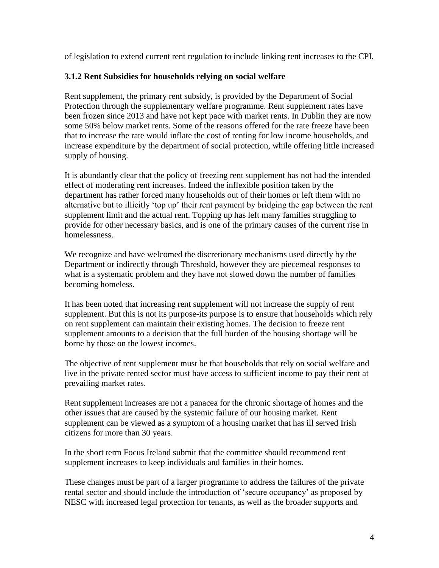of legislation to extend current rent regulation to include linking rent increases to the CPI.

# **3.1.2 Rent Subsidies for households relying on social welfare**

Rent supplement, the primary rent subsidy, is provided by the Department of Social Protection through the supplementary welfare programme. Rent supplement rates have been frozen since 2013 and have not kept pace with market rents. In Dublin they are now some 50% below market rents. Some of the reasons offered for the rate freeze have been that to increase the rate would inflate the cost of renting for low income households, and increase expenditure by the department of social protection, while offering little increased supply of housing.

It is abundantly clear that the policy of freezing rent supplement has not had the intended effect of moderating rent increases. Indeed the inflexible position taken by the department has rather forced many households out of their homes or left them with no alternative but to illicitly 'top up' their rent payment by bridging the gap between the rent supplement limit and the actual rent. Topping up has left many families struggling to provide for other necessary basics, and is one of the primary causes of the current rise in homelessness.

We recognize and have welcomed the discretionary mechanisms used directly by the Department or indirectly through Threshold, however they are piecemeal responses to what is a systematic problem and they have not slowed down the number of families becoming homeless.

It has been noted that increasing rent supplement will not increase the supply of rent supplement. But this is not its purpose-its purpose is to ensure that households which rely on rent supplement can maintain their existing homes. The decision to freeze rent supplement amounts to a decision that the full burden of the housing shortage will be borne by those on the lowest incomes.

The objective of rent supplement must be that households that rely on social welfare and live in the private rented sector must have access to sufficient income to pay their rent at prevailing market rates.

Rent supplement increases are not a panacea for the chronic shortage of homes and the other issues that are caused by the systemic failure of our housing market. Rent supplement can be viewed as a symptom of a housing market that has ill served Irish citizens for more than 30 years.

In the short term Focus Ireland submit that the committee should recommend rent supplement increases to keep individuals and families in their homes.

These changes must be part of a larger programme to address the failures of the private rental sector and should include the introduction of 'secure occupancy' as proposed by NESC with increased legal protection for tenants, as well as the broader supports and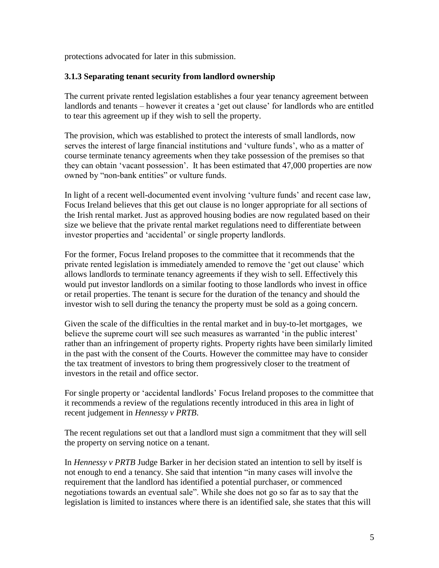protections advocated for later in this submission.

# **3.1.3 Separating tenant security from landlord ownership**

The current private rented legislation establishes a four year tenancy agreement between landlords and tenants – however it creates a 'get out clause' for landlords who are entitled to tear this agreement up if they wish to sell the property.

The provision, which was established to protect the interests of small landlords, now serves the interest of large financial institutions and 'vulture funds', who as a matter of course terminate tenancy agreements when they take possession of the premises so that they can obtain 'vacant possession'. It has been estimated that 47,000 properties are now owned by "non-bank entities" or vulture funds.

In light of a recent well-documented event involving 'vulture funds' and recent case law, Focus Ireland believes that this get out clause is no longer appropriate for all sections of the Irish rental market. Just as approved housing bodies are now regulated based on their size we believe that the private rental market regulations need to differentiate between investor properties and 'accidental' or single property landlords.

For the former, Focus Ireland proposes to the committee that it recommends that the private rented legislation is immediately amended to remove the 'get out clause' which allows landlords to terminate tenancy agreements if they wish to sell. Effectively this would put investor landlords on a similar footing to those landlords who invest in office or retail properties. The tenant is secure for the duration of the tenancy and should the investor wish to sell during the tenancy the property must be sold as a going concern.

Given the scale of the difficulties in the rental market and in buy-to-let mortgages, we believe the supreme court will see such measures as warranted 'in the public interest' rather than an infringement of property rights. Property rights have been similarly limited in the past with the consent of the Courts. However the committee may have to consider the tax treatment of investors to bring them progressively closer to the treatment of investors in the retail and office sector.

For single property or 'accidental landlords' Focus Ireland proposes to the committee that it recommends a review of the regulations recently introduced in this area in light of recent judgement in *Hennessy v PRTB*.

The recent regulations set out that a landlord must sign a commitment that they will sell the property on serving notice on a tenant.

In *Hennessy v PRTB* Judge Barker in her decision stated an intention to sell by itself is not enough to end a tenancy. She said that intention "in many cases will involve the requirement that the landlord has identified a potential purchaser, or commenced negotiations towards an eventual sale". While she does not go so far as to say that the legislation is limited to instances where there is an identified sale, she states that this will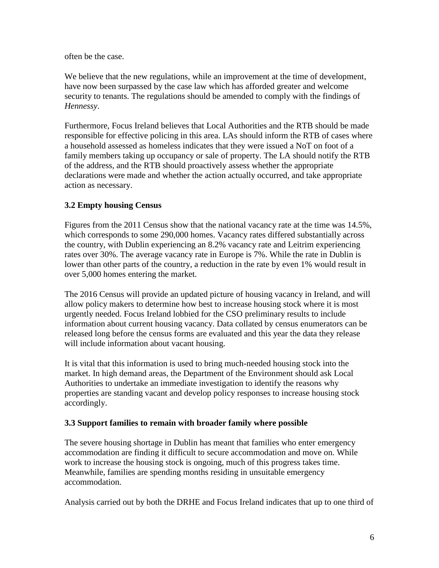often be the case.

We believe that the new regulations, while an improvement at the time of development, have now been surpassed by the case law which has afforded greater and welcome security to tenants. The regulations should be amended to comply with the findings of *Hennessy*.

Furthermore, Focus Ireland believes that Local Authorities and the RTB should be made responsible for effective policing in this area. LAs should inform the RTB of cases where a household assessed as homeless indicates that they were issued a NoT on foot of a family members taking up occupancy or sale of property. The LA should notify the RTB of the address, and the RTB should proactively assess whether the appropriate declarations were made and whether the action actually occurred, and take appropriate action as necessary.

# **3.2 Empty housing Census**

Figures from the 2011 Census show that the national vacancy rate at the time was 14.5%, which corresponds to some 290,000 homes. Vacancy rates differed substantially across the country, with Dublin experiencing an 8.2% vacancy rate and Leitrim experiencing rates over 30%. The average vacancy rate in Europe is 7%. While the rate in Dublin is lower than other parts of the country, a reduction in the rate by even 1% would result in over 5,000 homes entering the market.

The 2016 Census will provide an updated picture of housing vacancy in Ireland, and will allow policy makers to determine how best to increase housing stock where it is most urgently needed. Focus Ireland lobbied for the CSO preliminary results to include information about current housing vacancy. Data collated by census enumerators can be released long before the census forms are evaluated and this year the data they release will include information about vacant housing.

It is vital that this information is used to bring much-needed housing stock into the market. In high demand areas, the Department of the Environment should ask Local Authorities to undertake an immediate investigation to identify the reasons why properties are standing vacant and develop policy responses to increase housing stock accordingly.

# **3.3 Support families to remain with broader family where possible**

The severe housing shortage in Dublin has meant that families who enter emergency accommodation are finding it difficult to secure accommodation and move on. While work to increase the housing stock is ongoing, much of this progress takes time. Meanwhile, families are spending months residing in unsuitable emergency accommodation.

Analysis carried out by both the DRHE and Focus Ireland indicates that up to one third of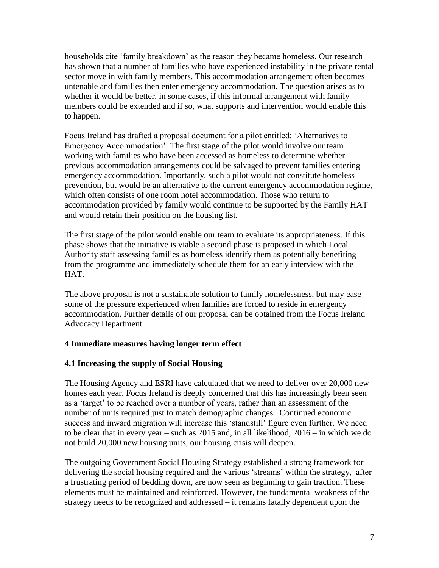households cite 'family breakdown' as the reason they became homeless. Our research has shown that a number of families who have experienced instability in the private rental sector move in with family members. This accommodation arrangement often becomes untenable and families then enter emergency accommodation. The question arises as to whether it would be better, in some cases, if this informal arrangement with family members could be extended and if so, what supports and intervention would enable this to happen.

Focus Ireland has drafted a proposal document for a pilot entitled: 'Alternatives to Emergency Accommodation'. The first stage of the pilot would involve our team working with families who have been accessed as homeless to determine whether previous accommodation arrangements could be salvaged to prevent families entering emergency accommodation. Importantly, such a pilot would not constitute homeless prevention, but would be an alternative to the current emergency accommodation regime, which often consists of one room hotel accommodation. Those who return to accommodation provided by family would continue to be supported by the Family HAT and would retain their position on the housing list.

The first stage of the pilot would enable our team to evaluate its appropriateness. If this phase shows that the initiative is viable a second phase is proposed in which Local Authority staff assessing families as homeless identify them as potentially benefiting from the programme and immediately schedule them for an early interview with the HAT.

The above proposal is not a sustainable solution to family homelessness, but may ease some of the pressure experienced when families are forced to reside in emergency accommodation. Further details of our proposal can be obtained from the Focus Ireland Advocacy Department.

# **4 Immediate measures having longer term effect**

# **4.1 Increasing the supply of Social Housing**

The Housing Agency and ESRI have calculated that we need to deliver over 20,000 new homes each year. Focus Ireland is deeply concerned that this has increasingly been seen as a 'target' to be reached over a number of years, rather than an assessment of the number of units required just to match demographic changes. Continued economic success and inward migration will increase this 'standstill' figure even further. We need to be clear that in every year – such as 2015 and, in all likelihood, 2016 – in which we do not build 20,000 new housing units, our housing crisis will deepen.

The outgoing Government Social Housing Strategy established a strong framework for delivering the social housing required and the various 'streams' within the strategy, after a frustrating period of bedding down, are now seen as beginning to gain traction. These elements must be maintained and reinforced. However, the fundamental weakness of the strategy needs to be recognized and addressed – it remains fatally dependent upon the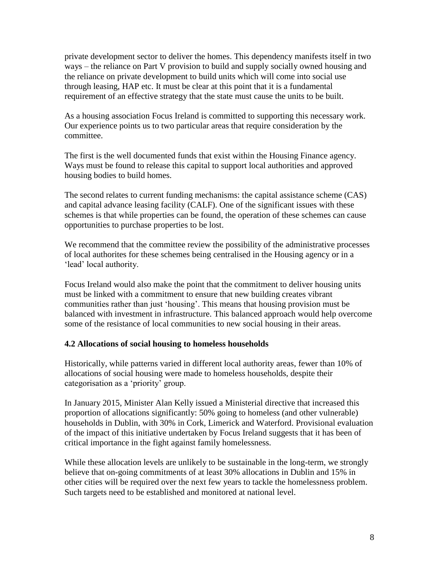private development sector to deliver the homes. This dependency manifests itself in two ways – the reliance on Part V provision to build and supply socially owned housing and the reliance on private development to build units which will come into social use through leasing, HAP etc. It must be clear at this point that it is a fundamental requirement of an effective strategy that the state must cause the units to be built.

As a housing association Focus Ireland is committed to supporting this necessary work. Our experience points us to two particular areas that require consideration by the committee.

The first is the well documented funds that exist within the Housing Finance agency. Ways must be found to release this capital to support local authorities and approved housing bodies to build homes.

The second relates to current funding mechanisms: the capital assistance scheme (CAS) and capital advance leasing facility (CALF). One of the significant issues with these schemes is that while properties can be found, the operation of these schemes can cause opportunities to purchase properties to be lost.

We recommend that the committee review the possibility of the administrative processes of local authorites for these schemes being centralised in the Housing agency or in a 'lead' local authority.

Focus Ireland would also make the point that the commitment to deliver housing units must be linked with a commitment to ensure that new building creates vibrant communities rather than just 'housing'. This means that housing provision must be balanced with investment in infrastructure. This balanced approach would help overcome some of the resistance of local communities to new social housing in their areas.

# **4.2 Allocations of social housing to homeless households**

Historically, while patterns varied in different local authority areas, fewer than 10% of allocations of social housing were made to homeless households, despite their categorisation as a 'priority' group.

In January 2015, Minister Alan Kelly issued a Ministerial directive that increased this proportion of allocations significantly: 50% going to homeless (and other vulnerable) households in Dublin, with 30% in Cork, Limerick and Waterford. Provisional evaluation of the impact of this initiative undertaken by Focus Ireland suggests that it has been of critical importance in the fight against family homelessness.

While these allocation levels are unlikely to be sustainable in the long-term, we strongly believe that on-going commitments of at least 30% allocations in Dublin and 15% in other cities will be required over the next few years to tackle the homelessness problem. Such targets need to be established and monitored at national level.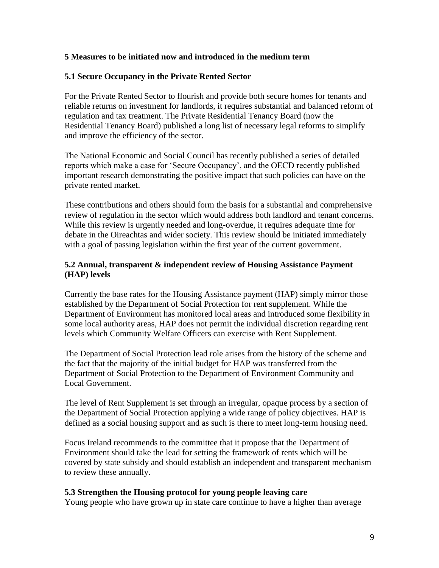# **5 Measures to be initiated now and introduced in the medium term**

#### **5.1 Secure Occupancy in the Private Rented Sector**

For the Private Rented Sector to flourish and provide both secure homes for tenants and reliable returns on investment for landlords, it requires substantial and balanced reform of regulation and tax treatment. The Private Residential Tenancy Board (now the Residential Tenancy Board) published a long list of necessary legal reforms to simplify and improve the efficiency of the sector.

The National Economic and Social Council has recently published a series of detailed reports which make a case for 'Secure Occupancy', and the OECD recently published important research demonstrating the positive impact that such policies can have on the private rented market.

These contributions and others should form the basis for a substantial and comprehensive review of regulation in the sector which would address both landlord and tenant concerns. While this review is urgently needed and long-overdue, it requires adequate time for debate in the Oireachtas and wider society. This review should be initiated immediately with a goal of passing legislation within the first year of the current government.

#### **5.2 Annual, transparent & independent review of Housing Assistance Payment (HAP) levels**

Currently the base rates for the Housing Assistance payment (HAP) simply mirror those established by the Department of Social Protection for rent supplement. While the Department of Environment has monitored local areas and introduced some flexibility in some local authority areas, HAP does not permit the individual discretion regarding rent levels which Community Welfare Officers can exercise with Rent Supplement.

The Department of Social Protection lead role arises from the history of the scheme and the fact that the majority of the initial budget for HAP was transferred from the Department of Social Protection to the Department of Environment Community and Local Government.

The level of Rent Supplement is set through an irregular, opaque process by a section of the Department of Social Protection applying a wide range of policy objectives. HAP is defined as a social housing support and as such is there to meet long-term housing need.

Focus Ireland recommends to the committee that it propose that the Department of Environment should take the lead for setting the framework of rents which will be covered by state subsidy and should establish an independent and transparent mechanism to review these annually.

#### **5.3 Strengthen the Housing protocol for young people leaving care**

Young people who have grown up in state care continue to have a higher than average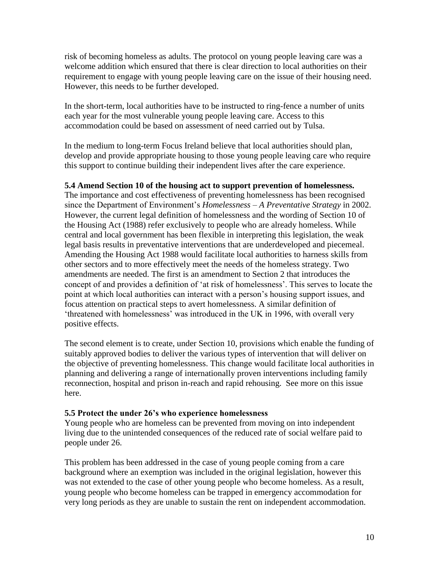risk of becoming homeless as adults. The protocol on young people leaving care was a welcome addition which ensured that there is clear direction to local authorities on their requirement to engage with young people leaving care on the issue of their housing need. However, this needs to be further developed.

In the short-term, local authorities have to be instructed to ring-fence a number of units each year for the most vulnerable young people leaving care. Access to this accommodation could be based on assessment of need carried out by Tulsa.

In the medium to long-term Focus Ireland believe that local authorities should plan, develop and provide appropriate housing to those young people leaving care who require this support to continue building their independent lives after the care experience.

#### **5.4 Amend Section 10 of the housing act to support prevention of homelessness.**

The importance and cost effectiveness of preventing homelessness has been recognised since the Department of Environment's *Homelessness – A Preventative Strategy* in 2002. However, the current legal definition of homelessness and the wording of Section 10 of the Housing Act (1988) refer exclusively to people who are already homeless. While central and local government has been flexible in interpreting this legislation, the weak legal basis results in preventative interventions that are underdeveloped and piecemeal. Amending the Housing Act 1988 would facilitate local authorities to harness skills from other sectors and to more effectively meet the needs of the homeless strategy. Two amendments are needed. The first is an amendment to Section 2 that introduces the concept of and provides a definition of 'at risk of homelessness'. This serves to locate the point at which local authorities can interact with a person's housing support issues, and focus attention on practical steps to avert homelessness. A similar definition of 'threatened with homelessness' was introduced in the UK in 1996, with overall very positive effects.

The second element is to create, under Section 10, provisions which enable the funding of suitably approved bodies to deliver the various types of intervention that will deliver on the objective of preventing homelessness. This change would facilitate local authorities in planning and delivering a range of internationally proven interventions including family reconnection, hospital and prison in-reach and rapid rehousing. See more on this issue here.

#### **5.5 Protect the under 26's who experience homelessness**

Young people who are homeless can be prevented from moving on into independent living due to the unintended consequences of the reduced rate of social welfare paid to people under 26.

This problem has been addressed in the case of young people coming from a care background where an exemption was included in the original legislation, however this was not extended to the case of other young people who become homeless. As a result, young people who become homeless can be trapped in emergency accommodation for very long periods as they are unable to sustain the rent on independent accommodation.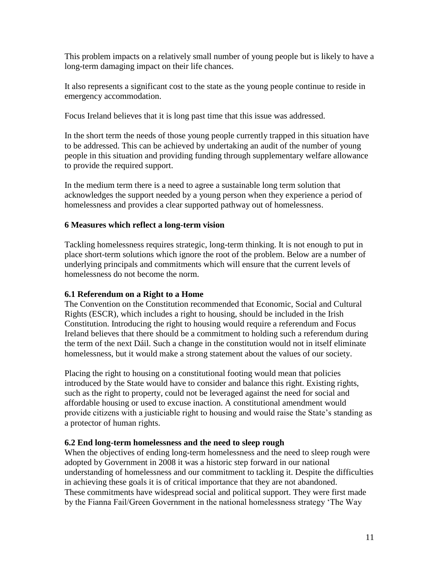This problem impacts on a relatively small number of young people but is likely to have a long-term damaging impact on their life chances.

It also represents a significant cost to the state as the young people continue to reside in emergency accommodation.

Focus Ireland believes that it is long past time that this issue was addressed.

In the short term the needs of those young people currently trapped in this situation have to be addressed. This can be achieved by undertaking an audit of the number of young people in this situation and providing funding through supplementary welfare allowance to provide the required support.

In the medium term there is a need to agree a sustainable long term solution that acknowledges the support needed by a young person when they experience a period of homelessness and provides a clear supported pathway out of homelessness.

# **6 Measures which reflect a long-term vision**

Tackling homelessness requires strategic, long-term thinking. It is not enough to put in place short-term solutions which ignore the root of the problem. Below are a number of underlying principals and commitments which will ensure that the current levels of homelessness do not become the norm.

# **6.1 Referendum on a Right to a Home**

The Convention on the Constitution recommended that Economic, Social and Cultural Rights (ESCR), which includes a right to housing, should be included in the Irish Constitution. Introducing the right to housing would require a referendum and Focus Ireland believes that there should be a commitment to holding such a referendum during the term of the next Dáil. Such a change in the constitution would not in itself eliminate homelessness, but it would make a strong statement about the values of our society.

Placing the right to housing on a constitutional footing would mean that policies introduced by the State would have to consider and balance this right. Existing rights, such as the right to property, could not be leveraged against the need for social and affordable housing or used to excuse inaction. A constitutional amendment would provide citizens with a justiciable right to housing and would raise the State's standing as a protector of human rights.

# **6.2 End long-term homelessness and the need to sleep rough**

When the objectives of ending long-term homelessness and the need to sleep rough were adopted by Government in 2008 it was a historic step forward in our national understanding of homelessness and our commitment to tackling it. Despite the difficulties in achieving these goals it is of critical importance that they are not abandoned. These commitments have widespread social and political support. They were first made by the Fianna Fail/Green Government in the national homelessness strategy 'The Way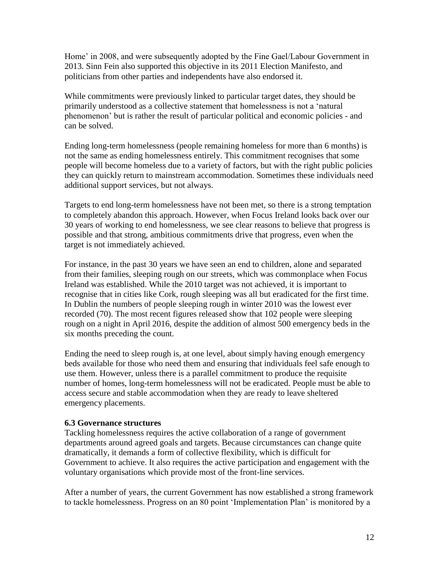Home' in 2008, and were subsequently adopted by the Fine Gael/Labour Government in 2013. Sinn Fein also supported this objective in its 2011 Election Manifesto, and politicians from other parties and independents have also endorsed it.

While commitments were previously linked to particular target dates, they should be primarily understood as a collective statement that homelessness is not a 'natural phenomenon' but is rather the result of particular political and economic policies - and can be solved.

Ending long-term homelessness (people remaining homeless for more than 6 months) is not the same as ending homelessness entirely. This commitment recognises that some people will become homeless due to a variety of factors, but with the right public policies they can quickly return to mainstream accommodation. Sometimes these individuals need additional support services, but not always.

Targets to end long-term homelessness have not been met, so there is a strong temptation to completely abandon this approach. However, when Focus Ireland looks back over our 30 years of working to end homelessness, we see clear reasons to believe that progress is possible and that strong, ambitious commitments drive that progress, even when the target is not immediately achieved.

For instance, in the past 30 years we have seen an end to children, alone and separated from their families, sleeping rough on our streets, which was commonplace when Focus Ireland was established. While the 2010 target was not achieved, it is important to recognise that in cities like Cork, rough sleeping was all but eradicated for the first time. In Dublin the numbers of people sleeping rough in winter 2010 was the lowest ever recorded (70). The most recent figures released show that 102 people were sleeping rough on a night in April 2016, despite the addition of almost 500 emergency beds in the six months preceding the count.

Ending the need to sleep rough is, at one level, about simply having enough emergency beds available for those who need them and ensuring that individuals feel safe enough to use them. However, unless there is a parallel commitment to produce the requisite number of homes, long-term homelessness will not be eradicated. People must be able to access secure and stable accommodation when they are ready to leave sheltered emergency placements.

# **6.3 Governance structures**

Tackling homelessness requires the active collaboration of a range of government departments around agreed goals and targets. Because circumstances can change quite dramatically, it demands a form of collective flexibility, which is difficult for Government to achieve. It also requires the active participation and engagement with the voluntary organisations which provide most of the front-line services.

After a number of years, the current Government has now established a strong framework to tackle homelessness. Progress on an 80 point 'Implementation Plan' is monitored by a